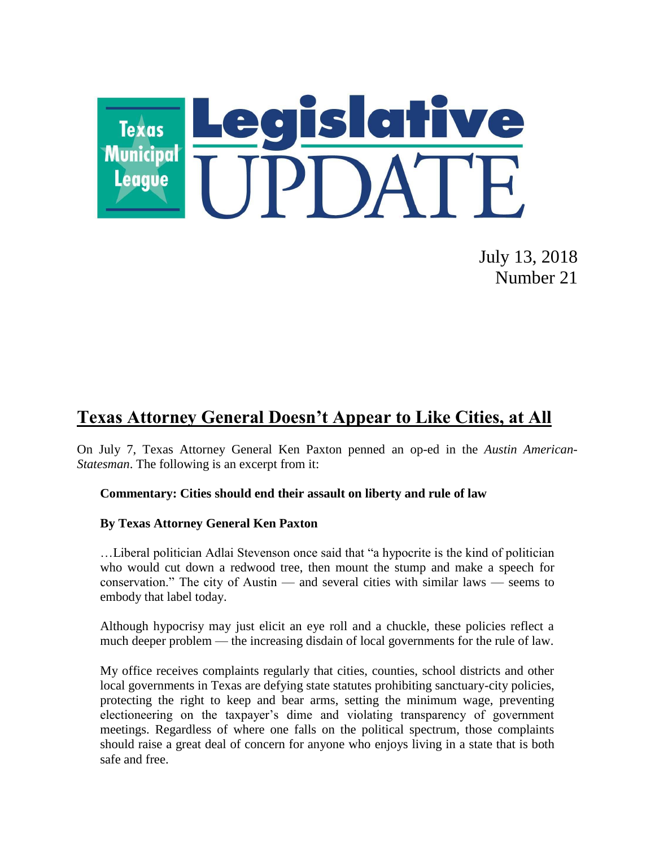

July 13, 2018 Number 21

## **Texas Attorney General Doesn't Appear to Like Cities, at All**

On July 7, Texas Attorney General Ken Paxton penned an op-ed in the *Austin American-Statesman*. The following is an excerpt from it:

## **Commentary: Cities should end their assault on liberty and rule of law**

## **By Texas Attorney General Ken Paxton**

…Liberal politician Adlai Stevenson once said that "a hypocrite is the kind of politician who would cut down a redwood tree, then mount the stump and make a speech for conservation." The city of Austin — and several cities with similar laws — seems to embody that label today.

Although hypocrisy may just elicit an eye roll and a chuckle, these policies reflect a much deeper problem — the increasing disdain of local governments for the rule of law.

My office receives complaints regularly that cities, counties, school districts and other local governments in Texas are defying state statutes prohibiting sanctuary-city policies, protecting the right to keep and bear arms, setting the minimum wage, preventing electioneering on the taxpayer's dime and violating transparency of government meetings. Regardless of where one falls on the political spectrum, those complaints should raise a great deal of concern for anyone who enjoys living in a state that is both safe and free.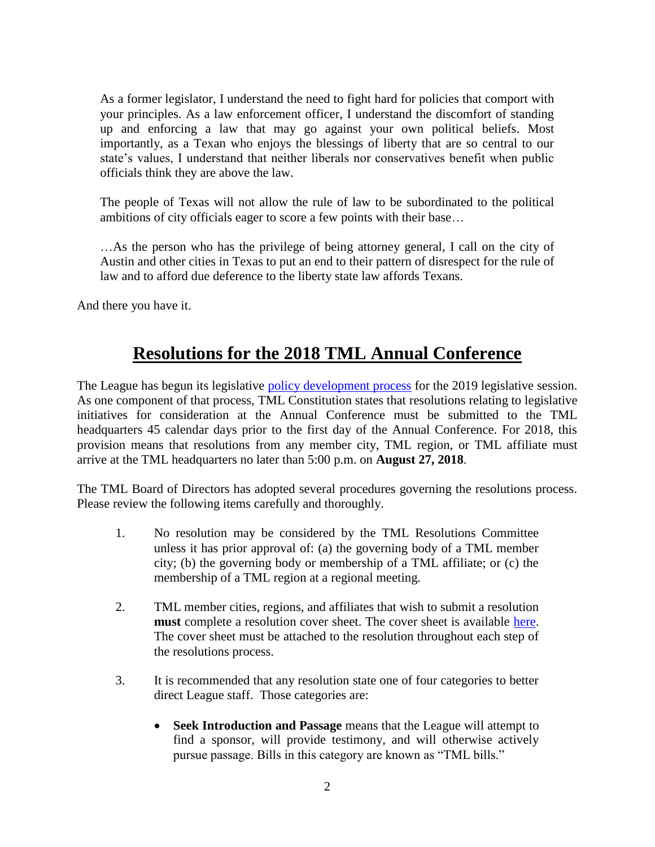As a former legislator, I understand the need to fight hard for policies that comport with your principles. As a law enforcement officer, I understand the discomfort of standing up and enforcing a law that may go against your own political beliefs. Most importantly, as a Texan who enjoys the blessings of liberty that are so central to our state's values, I understand that neither liberals nor conservatives benefit when public officials think they are above the law.

The people of Texas will not allow the rule of law to be subordinated to the political ambitions of city officials eager to score a few points with their base…

…As the person who has the privilege of being attorney general, I call on the city of Austin and other cities in Texas to put an end to their pattern of disrespect for the rule of law and to afford due deference to the liberty state law affords Texans.

And there you have it.

## **Resolutions for the 2018 TML Annual Conference**

The League has begun its legislative [policy development process](https://www.tml.org/p/LegislativePolicyProcess.pdf) for the 2019 legislative session. As one component of that process, TML Constitution states that resolutions relating to legislative initiatives for consideration at the Annual Conference must be submitted to the TML headquarters 45 calendar days prior to the first day of the Annual Conference. For 2018, this provision means that resolutions from any member city, TML region, or TML affiliate must arrive at the TML headquarters no later than 5:00 p.m. on **August 27, 2018**.

The TML Board of Directors has adopted several procedures governing the resolutions process. Please review the following items carefully and thoroughly.

- 1. No resolution may be considered by the TML Resolutions Committee unless it has prior approval of: (a) the governing body of a TML member city; (b) the governing body or membership of a TML affiliate; or (c) the membership of a TML region at a regional meeting.
- 2. TML member cities, regions, and affiliates that wish to submit a resolution **must** complete a resolution cover sheet. The cover sheet is available [here.](https://www.tml.org/p/2018%20Resolution%20Cover%20sheet.doc) The cover sheet must be attached to the resolution throughout each step of the resolutions process.
- 3. It is recommended that any resolution state one of four categories to better direct League staff. Those categories are:
	- **Seek Introduction and Passage** means that the League will attempt to find a sponsor, will provide testimony, and will otherwise actively pursue passage. Bills in this category are known as "TML bills."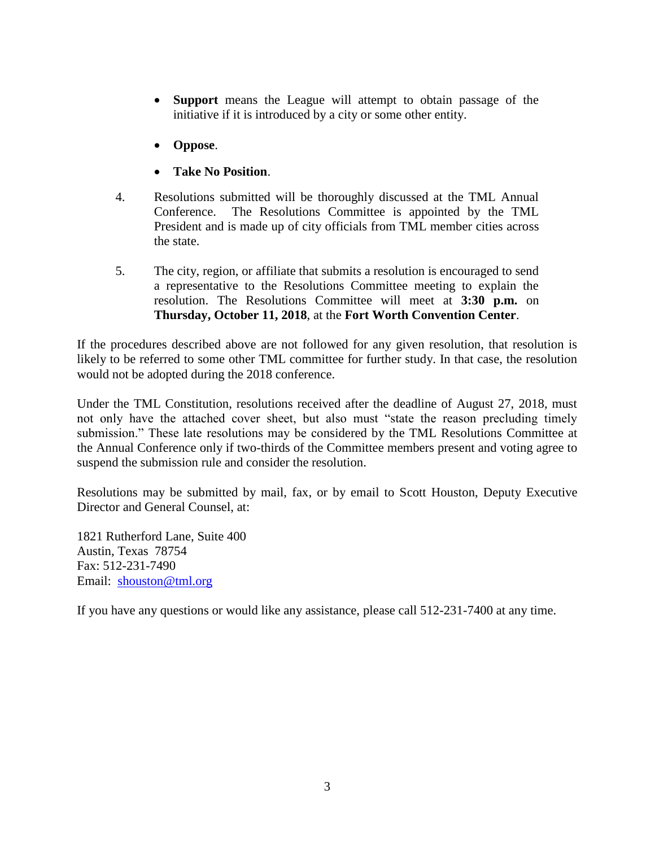- **Support** means the League will attempt to obtain passage of the initiative if it is introduced by a city or some other entity.
- **Oppose**.
- **Take No Position**.
- 4. Resolutions submitted will be thoroughly discussed at the TML Annual Conference. The Resolutions Committee is appointed by the TML President and is made up of city officials from TML member cities across the state.
- 5. The city, region, or affiliate that submits a resolution is encouraged to send a representative to the Resolutions Committee meeting to explain the resolution. The Resolutions Committee will meet at **3:30 p.m.** on **Thursday, October 11, 2018**, at the **Fort Worth Convention Center**.

If the procedures described above are not followed for any given resolution, that resolution is likely to be referred to some other TML committee for further study. In that case, the resolution would not be adopted during the 2018 conference.

Under the TML Constitution, resolutions received after the deadline of August 27, 2018, must not only have the attached cover sheet, but also must "state the reason precluding timely submission." These late resolutions may be considered by the TML Resolutions Committee at the Annual Conference only if two-thirds of the Committee members present and voting agree to suspend the submission rule and consider the resolution.

Resolutions may be submitted by mail, fax, or by email to Scott Houston, Deputy Executive Director and General Counsel, at:

1821 Rutherford Lane, Suite 400 Austin, Texas 78754 Fax: 512-231-7490 Email: [shouston@tml.org](mailto:shouston@tml.org)

If you have any questions or would like any assistance, please call 512-231-7400 at any time.